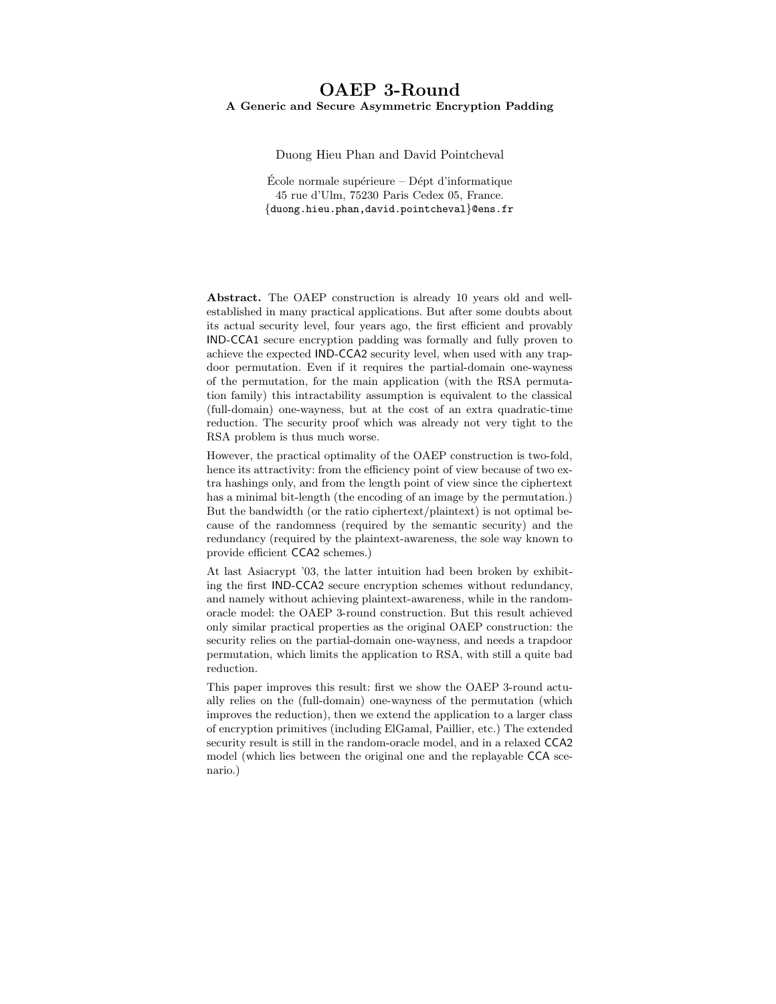# OAEP 3-Round A Generic and Secure Asymmetric Encryption Padding

Duong Hieu Phan and David Pointcheval

 $\acute{E}$ cole normale supérieure – Dépt d'informatique 45 rue d'Ulm, 75230 Paris Cedex 05, France. {duong.hieu.phan,david.pointcheval}@ens.fr

Abstract. The OAEP construction is already 10 years old and wellestablished in many practical applications. But after some doubts about its actual security level, four years ago, the first efficient and provably IND-CCA1 secure encryption padding was formally and fully proven to achieve the expected IND-CCA2 security level, when used with any trapdoor permutation. Even if it requires the partial-domain one-wayness of the permutation, for the main application (with the RSA permutation family) this intractability assumption is equivalent to the classical (full-domain) one-wayness, but at the cost of an extra quadratic-time reduction. The security proof which was already not very tight to the RSA problem is thus much worse.

However, the practical optimality of the OAEP construction is two-fold, hence its attractivity: from the efficiency point of view because of two extra hashings only, and from the length point of view since the ciphertext has a minimal bit-length (the encoding of an image by the permutation.) But the bandwidth (or the ratio ciphertext/plaintext) is not optimal because of the randomness (required by the semantic security) and the redundancy (required by the plaintext-awareness, the sole way known to provide efficient CCA2 schemes.)

At last Asiacrypt '03, the latter intuition had been broken by exhibiting the first IND-CCA2 secure encryption schemes without redundancy, and namely without achieving plaintext-awareness, while in the randomoracle model: the OAEP 3-round construction. But this result achieved only similar practical properties as the original OAEP construction: the security relies on the partial-domain one-wayness, and needs a trapdoor permutation, which limits the application to RSA, with still a quite bad reduction.

This paper improves this result: first we show the OAEP 3-round actually relies on the (full-domain) one-wayness of the permutation (which improves the reduction), then we extend the application to a larger class of encryption primitives (including ElGamal, Paillier, etc.) The extended security result is still in the random-oracle model, and in a relaxed CCA2 model (which lies between the original one and the replayable CCA scenario.)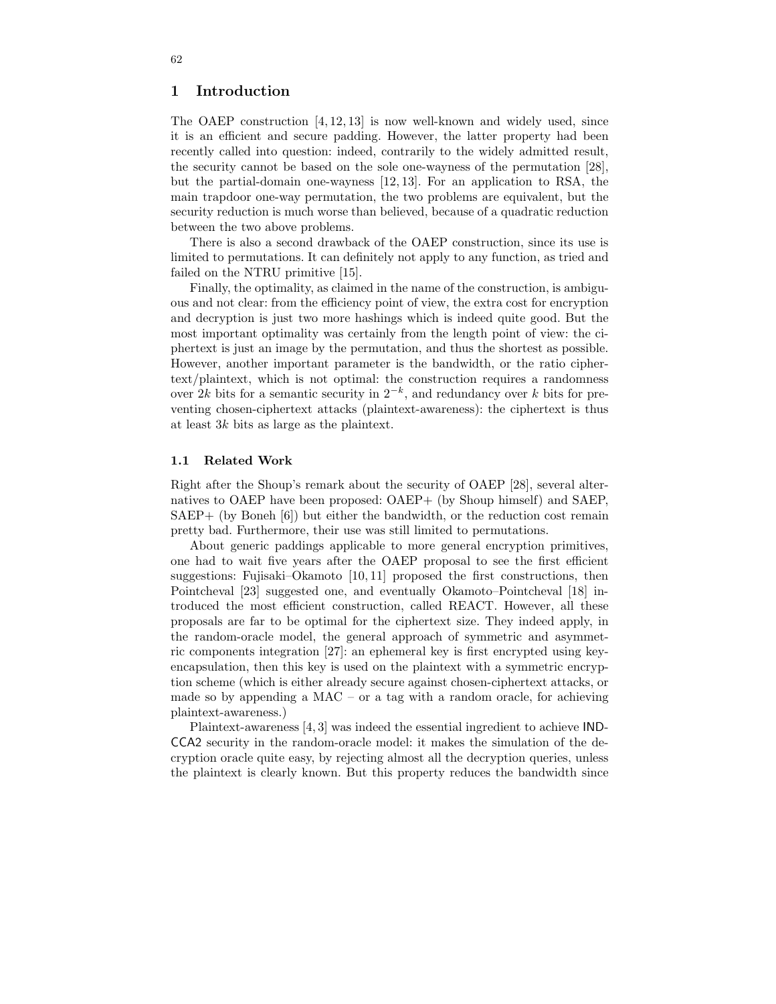## 1 Introduction

The OAEP construction  $[4, 12, 13]$  is now well-known and widely used, since it is an efficient and secure padding. However, the latter property had been recently called into question: indeed, contrarily to the widely admitted result, the security cannot be based on the sole one-wayness of the permutation [28], but the partial-domain one-wayness [12, 13]. For an application to RSA, the main trapdoor one-way permutation, the two problems are equivalent, but the security reduction is much worse than believed, because of a quadratic reduction between the two above problems.

There is also a second drawback of the OAEP construction, since its use is limited to permutations. It can definitely not apply to any function, as tried and failed on the NTRU primitive [15].

Finally, the optimality, as claimed in the name of the construction, is ambiguous and not clear: from the efficiency point of view, the extra cost for encryption and decryption is just two more hashings which is indeed quite good. But the most important optimality was certainly from the length point of view: the ciphertext is just an image by the permutation, and thus the shortest as possible. However, another important parameter is the bandwidth, or the ratio ciphertext/plaintext, which is not optimal: the construction requires a randomness over 2k bits for a semantic security in  $2^{-k}$ , and redundancy over k bits for preventing chosen-ciphertext attacks (plaintext-awareness): the ciphertext is thus at least 3k bits as large as the plaintext.

### 1.1 Related Work

Right after the Shoup's remark about the security of OAEP [28], several alternatives to OAEP have been proposed: OAEP+ (by Shoup himself) and SAEP,  $SAEP+$  (by Boneh [6]) but either the bandwidth, or the reduction cost remain pretty bad. Furthermore, their use was still limited to permutations.

About generic paddings applicable to more general encryption primitives, one had to wait five years after the OAEP proposal to see the first efficient suggestions: Fujisaki–Okamoto [10, 11] proposed the first constructions, then Pointcheval [23] suggested one, and eventually Okamoto–Pointcheval [18] introduced the most efficient construction, called REACT. However, all these proposals are far to be optimal for the ciphertext size. They indeed apply, in the random-oracle model, the general approach of symmetric and asymmetric components integration [27]: an ephemeral key is first encrypted using keyencapsulation, then this key is used on the plaintext with a symmetric encryption scheme (which is either already secure against chosen-ciphertext attacks, or made so by appending a MAC – or a tag with a random oracle, for achieving plaintext-awareness.)

Plaintext-awareness [4, 3] was indeed the essential ingredient to achieve IND-CCA2 security in the random-oracle model: it makes the simulation of the decryption oracle quite easy, by rejecting almost all the decryption queries, unless the plaintext is clearly known. But this property reduces the bandwidth since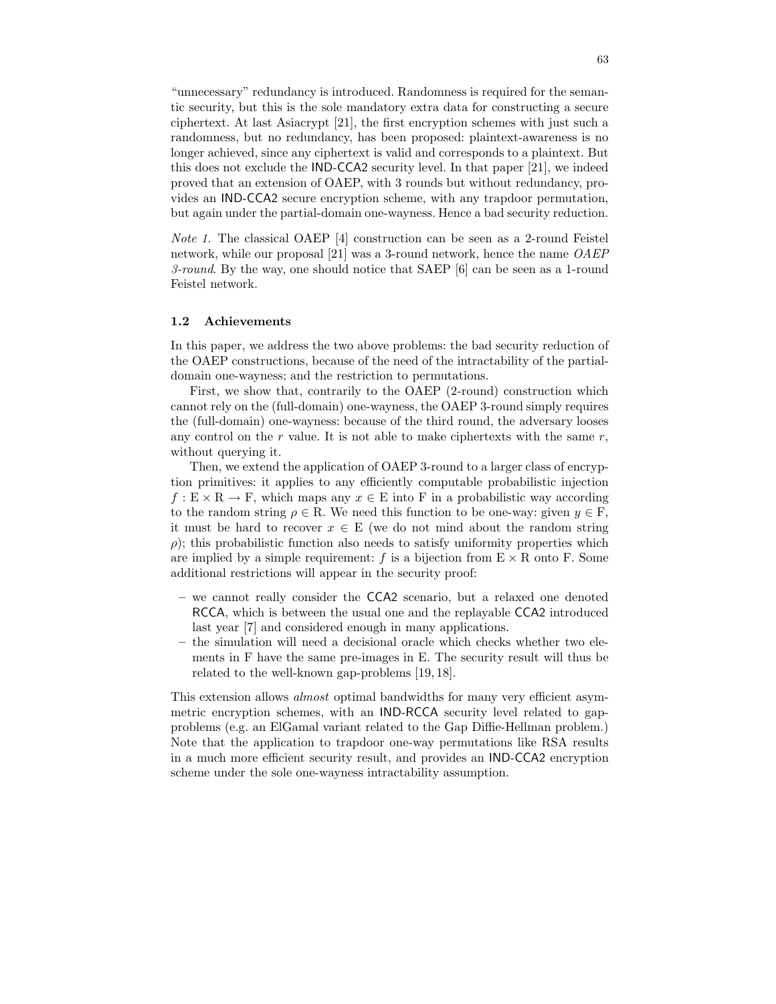"unnecessary" redundancy is introduced. Randomness is required for the semantic security, but this is the sole mandatory extra data for constructing a secure ciphertext. At last Asiacrypt [21], the first encryption schemes with just such a randomness, but no redundancy, has been proposed: plaintext-awareness is no longer achieved, since any ciphertext is valid and corresponds to a plaintext. But this does not exclude the IND-CCA2 security level. In that paper [21], we indeed proved that an extension of OAEP, with 3 rounds but without redundancy, provides an IND-CCA2 secure encryption scheme, with any trapdoor permutation, but again under the partial-domain one-wayness. Hence a bad security reduction.

Note 1. The classical OAEP [4] construction can be seen as a 2-round Feistel network, while our proposal [21] was a 3-round network, hence the name OAEP 3-round. By the way, one should notice that SAEP [6] can be seen as a 1-round Feistel network.

## 1.2 Achievements

In this paper, we address the two above problems: the bad security reduction of the OAEP constructions, because of the need of the intractability of the partialdomain one-wayness; and the restriction to permutations.

First, we show that, contrarily to the OAEP (2-round) construction which cannot rely on the (full-domain) one-wayness, the OAEP 3-round simply requires the (full-domain) one-wayness: because of the third round, the adversary looses any control on the  $r$  value. It is not able to make ciphertexts with the same  $r$ , without querying it.

Then, we extend the application of OAEP 3-round to a larger class of encryption primitives: it applies to any efficiently computable probabilistic injection  $f: E \times R \to F$ , which maps any  $x \in E$  into F in a probabilistic way according to the random string  $\rho \in \mathbb{R}$ . We need this function to be one-way: given  $y \in \mathbb{F}$ , it must be hard to recover  $x \in E$  (we do not mind about the random string  $\rho$ ); this probabilistic function also needs to satisfy uniformity properties which are implied by a simple requirement: f is a bijection from  $E \times R$  onto F. Some additional restrictions will appear in the security proof:

- we cannot really consider the CCA2 scenario, but a relaxed one denoted RCCA, which is between the usual one and the replayable CCA2 introduced last year [7] and considered enough in many applications.
- the simulation will need a decisional oracle which checks whether two elements in F have the same pre-images in E. The security result will thus be related to the well-known gap-problems [19, 18].

This extension allows *almost* optimal bandwidths for many very efficient asymmetric encryption schemes, with an IND-RCCA security level related to gapproblems (e.g. an ElGamal variant related to the Gap Diffie-Hellman problem.) Note that the application to trapdoor one-way permutations like RSA results in a much more efficient security result, and provides an IND-CCA2 encryption scheme under the sole one-wayness intractability assumption.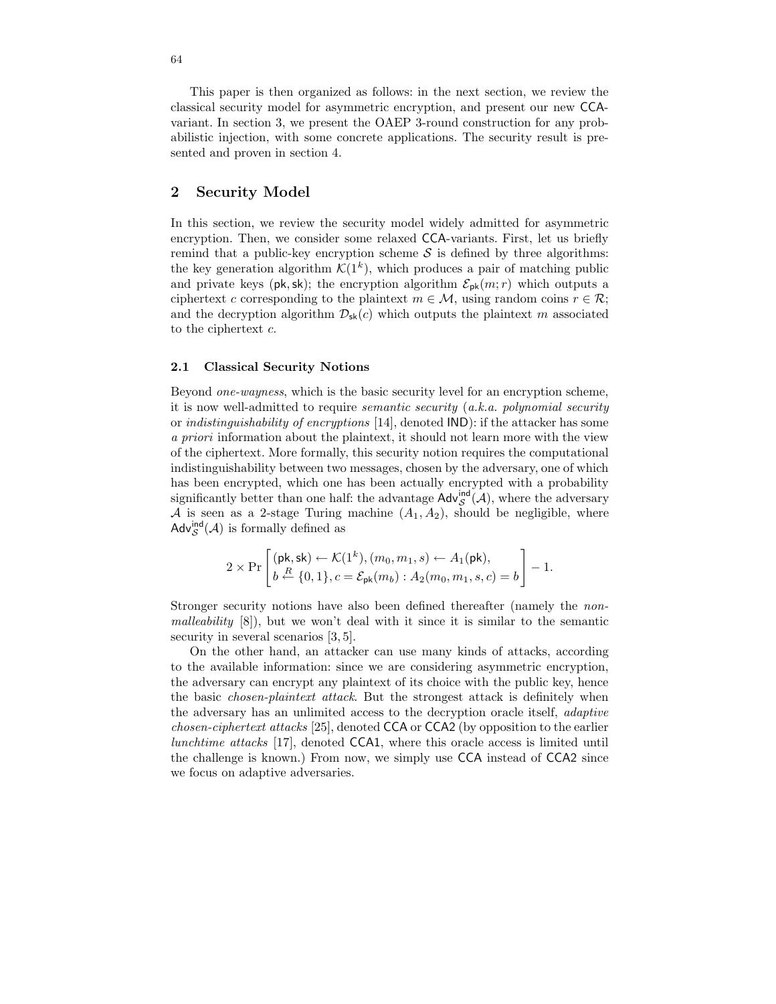This paper is then organized as follows: in the next section, we review the classical security model for asymmetric encryption, and present our new CCAvariant. In section 3, we present the OAEP 3-round construction for any probabilistic injection, with some concrete applications. The security result is presented and proven in section 4.

# 2 Security Model

In this section, we review the security model widely admitted for asymmetric encryption. Then, we consider some relaxed CCA-variants. First, let us briefly remind that a public-key encryption scheme  $\mathcal S$  is defined by three algorithms: the key generation algorithm  $\mathcal{K}(1^k)$ , which produces a pair of matching public and private keys (pk, sk); the encryption algorithm  $\mathcal{E}_{\text{pk}}(m;r)$  which outputs a ciphertext c corresponding to the plaintext  $m \in \mathcal{M}$ , using random coins  $r \in \mathcal{R}$ ; and the decryption algorithm  $\mathcal{D}_{sk}(c)$  which outputs the plaintext m associated to the ciphertext c.

#### 2.1 Classical Security Notions

Beyond one-wayness, which is the basic security level for an encryption scheme, it is now well-admitted to require semantic security (a.k.a. polynomial security or indistinguishability of encryptions [14], denoted IND): if the attacker has some a priori information about the plaintext, it should not learn more with the view of the ciphertext. More formally, this security notion requires the computational indistinguishability between two messages, chosen by the adversary, one of which has been encrypted, which one has been actually encrypted with a probability significantly better than one half: the advantage  $\mathsf{Adv}_{\mathcal{S}}^{\mathsf{ind}}(\mathcal{A})$ , where the adversary A is seen as a 2-stage Turing machine  $(A_1, A_2)$ , should be negligible, where  $\mathsf{Adv}_{\mathcal{S}}^{\mathsf{ind}}(\mathcal{A})$  is formally defined as

$$
2 \times \Pr \left[ (\mathsf{pk}, \mathsf{sk}) \leftarrow \mathcal{K}(1^k), (m_0, m_1, s) \leftarrow A_1(\mathsf{pk}), b \stackrel{R}{\leftarrow} \{0, 1\}, c = \mathcal{E}_{\mathsf{pk}}(m_b) : A_2(m_0, m_1, s, c) = b \right] - 1.
$$

Stronger security notions have also been defined thereafter (namely the nonmalleability  $[8]$ , but we won't deal with it since it is similar to the semantic security in several scenarios [3, 5].

On the other hand, an attacker can use many kinds of attacks, according to the available information: since we are considering asymmetric encryption, the adversary can encrypt any plaintext of its choice with the public key, hence the basic chosen-plaintext attack. But the strongest attack is definitely when the adversary has an unlimited access to the decryption oracle itself, adaptive chosen-ciphertext attacks [25], denoted CCA or CCA2 (by opposition to the earlier lunchtime attacks [17], denoted CCA1, where this oracle access is limited until the challenge is known.) From now, we simply use CCA instead of CCA2 since we focus on adaptive adversaries.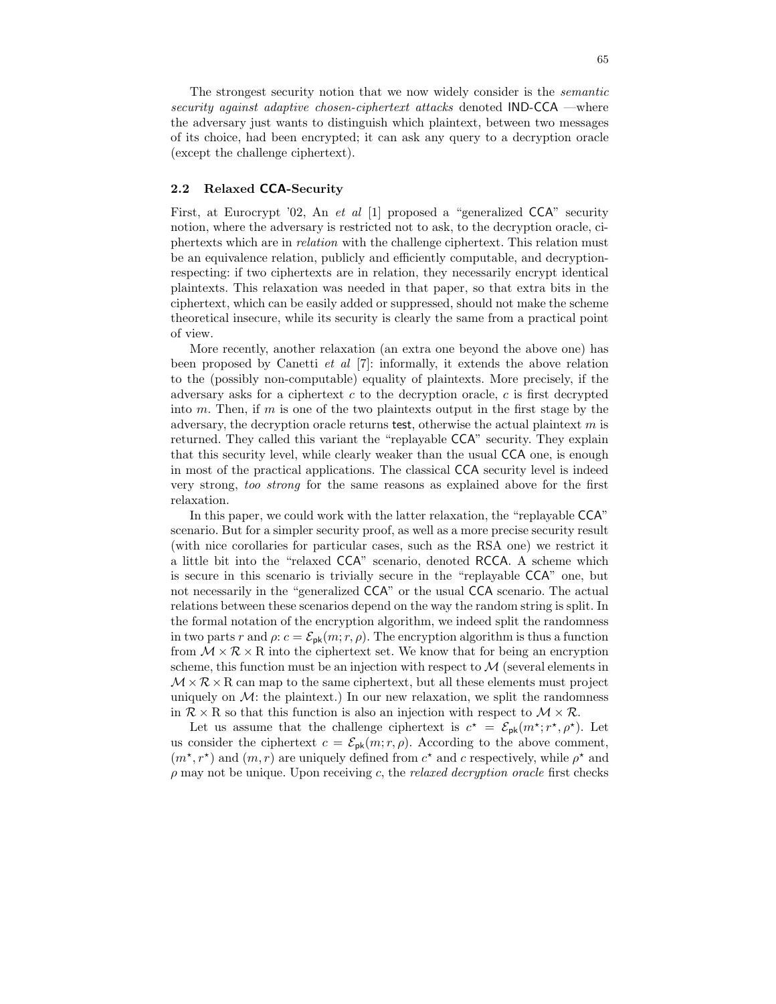The strongest security notion that we now widely consider is the semantic security against adaptive chosen-ciphertext attacks denoted IND-CCA —where the adversary just wants to distinguish which plaintext, between two messages of its choice, had been encrypted; it can ask any query to a decryption oracle (except the challenge ciphertext).

### 2.2 Relaxed CCA-Security

First, at Eurocrypt '02, An *et al* [1] proposed a "generalized CCA" security notion, where the adversary is restricted not to ask, to the decryption oracle, ciphertexts which are in relation with the challenge ciphertext. This relation must be an equivalence relation, publicly and efficiently computable, and decryptionrespecting: if two ciphertexts are in relation, they necessarily encrypt identical plaintexts. This relaxation was needed in that paper, so that extra bits in the ciphertext, which can be easily added or suppressed, should not make the scheme theoretical insecure, while its security is clearly the same from a practical point of view.

More recently, another relaxation (an extra one beyond the above one) has been proposed by Canetti *et al* [7]: informally, it extends the above relation to the (possibly non-computable) equality of plaintexts. More precisely, if the adversary asks for a ciphertext c to the decryption oracle, c is first decrypted into  $m$ . Then, if  $m$  is one of the two plaintexts output in the first stage by the adversary, the decryption oracle returns test, otherwise the actual plaintext  $m$  is returned. They called this variant the "replayable CCA" security. They explain that this security level, while clearly weaker than the usual CCA one, is enough in most of the practical applications. The classical CCA security level is indeed very strong, too strong for the same reasons as explained above for the first relaxation.

In this paper, we could work with the latter relaxation, the "replayable CCA" scenario. But for a simpler security proof, as well as a more precise security result (with nice corollaries for particular cases, such as the RSA one) we restrict it a little bit into the "relaxed CCA" scenario, denoted RCCA. A scheme which is secure in this scenario is trivially secure in the "replayable CCA" one, but not necessarily in the "generalized CCA" or the usual CCA scenario. The actual relations between these scenarios depend on the way the random string is split. In the formal notation of the encryption algorithm, we indeed split the randomness in two parts r and  $\rho: c = \mathcal{E}_{\text{pk}}(m; r, \rho)$ . The encryption algorithm is thus a function from  $\mathcal{M} \times \mathcal{R} \times \mathbb{R}$  into the ciphertext set. We know that for being an encryption scheme, this function must be an injection with respect to  $\mathcal M$  (several elements in  $\mathcal{M} \times \mathcal{R} \times \mathcal{R}$  can map to the same ciphertext, but all these elements must project uniquely on  $M$ : the plaintext.) In our new relaxation, we split the randomness in  $\mathcal{R} \times \mathcal{R}$  so that this function is also an injection with respect to  $\mathcal{M} \times \mathcal{R}$ .

Let us assume that the challenge ciphertext is  $c^* = \mathcal{E}_{\mathsf{pk}}(m^*; r^*, \rho^*)$ . Let us consider the ciphertext  $c = \mathcal{E}_{\text{pk}}(m; r, \rho)$ . According to the above comment,  $(m^*, r^*)$  and  $(m, r)$  are uniquely defined from  $c^*$  and c respectively, while  $\rho^*$  and  $\rho$  may not be unique. Upon receiving c, the *relaxed decryption oracle* first checks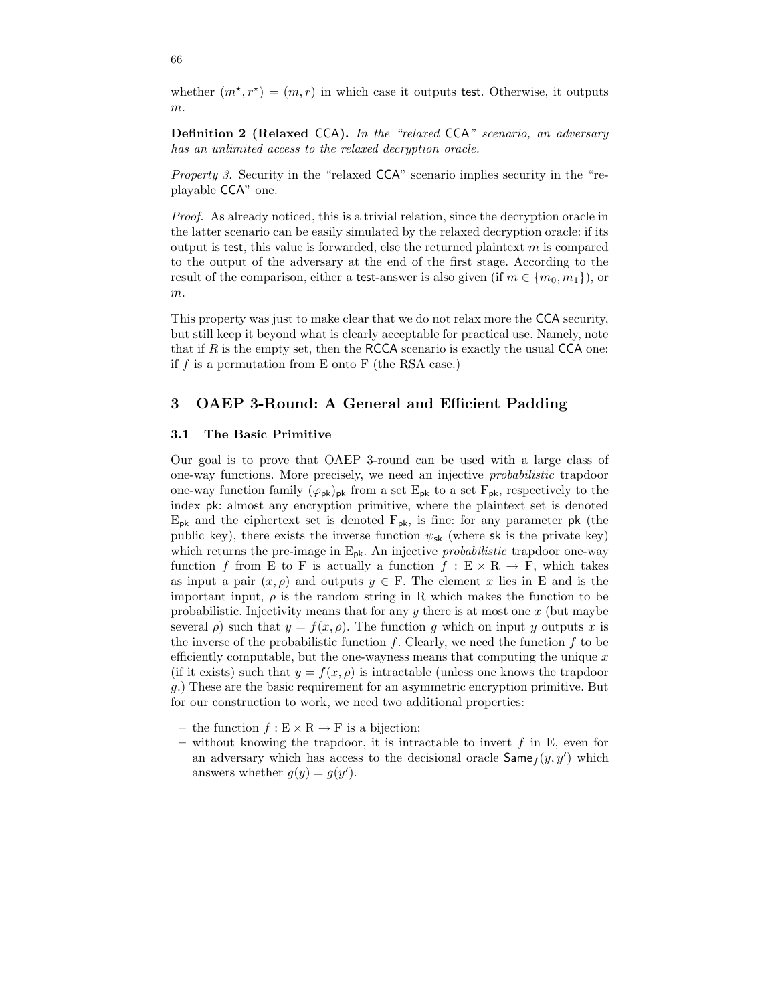whether  $(m^*, r^*) = (m, r)$  in which case it outputs test. Otherwise, it outputs m.

Definition 2 (Relaxed CCA). In the "relaxed CCA" scenario, an adversary has an unlimited access to the relaxed decryption oracle.

Property 3. Security in the "relaxed CCA" scenario implies security in the "replayable CCA" one.

Proof. As already noticed, this is a trivial relation, since the decryption oracle in the latter scenario can be easily simulated by the relaxed decryption oracle: if its output is test, this value is forwarded, else the returned plaintext  $m$  is compared to the output of the adversary at the end of the first stage. According to the result of the comparison, either a test-answer is also given (if  $m \in \{m_0, m_1\}$ ), or  $\boldsymbol{m}.$ 

This property was just to make clear that we do not relax more the CCA security, but still keep it beyond what is clearly acceptable for practical use. Namely, note that if  $R$  is the empty set, then the RCCA scenario is exactly the usual CCA one: if f is a permutation from E onto F (the RSA case.)

# 3 OAEP 3-Round: A General and Efficient Padding

### 3.1 The Basic Primitive

Our goal is to prove that OAEP 3-round can be used with a large class of one-way functions. More precisely, we need an injective probabilistic trapdoor one-way function family  $(\varphi_{\text{pk}})_{\text{pk}}$  from a set  $E_{\text{pk}}$  to a set  $F_{\text{pk}}$ , respectively to the index pk: almost any encryption primitive, where the plaintext set is denoted  $E_{\text{pk}}$  and the ciphertext set is denoted  $F_{\text{pk}}$ , is fine: for any parameter pk (the public key), there exists the inverse function  $\psi_{\mathsf{sk}}$  (where sk is the private key) which returns the pre-image in  $E_{pk}$ . An injective *probabilistic* trapdoor one-way function f from E to F is actually a function  $f : E \times R \to F$ , which takes as input a pair  $(x, \rho)$  and outputs  $y \in F$ . The element x lies in E and is the important input,  $\rho$  is the random string in R which makes the function to be probabilistic. Injectivity means that for any  $y$  there is at most one  $x$  (but maybe several  $\rho$ ) such that  $y = f(x, \rho)$ . The function g which on input y outputs x is the inverse of the probabilistic function  $f$ . Clearly, we need the function  $f$  to be efficiently computable, but the one-wayness means that computing the unique  $x$ (if it exists) such that  $y = f(x, \rho)$  is intractable (unless one knows the trapdoor g.) These are the basic requirement for an asymmetric encryption primitive. But for our construction to work, we need two additional properties:

- the function  $f : E \times R \to F$  is a bijection;
- without knowing the trapdoor, it is intractable to invert f in E, even for an adversary which has access to the decisional oracle  $\mathsf{Same}_f(y, y')$  which answers whether  $g(y) = g(y')$ .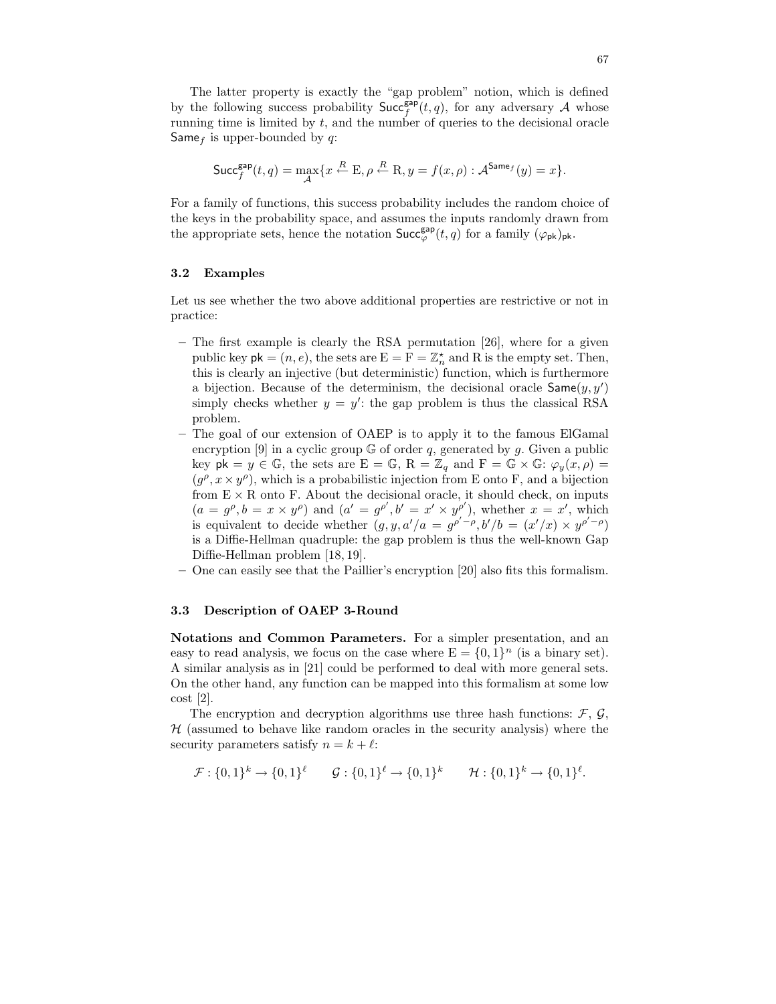The latter property is exactly the "gap problem" notion, which is defined by the following success probability  $\mathsf{Succ}^{\mathsf{gap}}_f(t,q)$ , for any adversary A whose running time is limited by  $t$ , and the number of queries to the decisional oracle Same<sub>f</sub> is upper-bounded by  $q$ :

$$
\mathsf{Succ}^{\mathsf{gap}}_f(t,q) = \max_{\mathcal{A}} \{x \stackrel{R}{\leftarrow} \mathcal{E}, \rho \stackrel{R}{\leftarrow} \mathcal{R}, y = f(x,\rho) : \mathcal{A}^{\mathsf{Same}_f}(y) = x\}.
$$

For a family of functions, this success probability includes the random choice of the keys in the probability space, and assumes the inputs randomly drawn from the appropriate sets, hence the notation  $\mathsf{Succ}^{\mathsf{gap}}_{\varphi}(t,q)$  for a family  $(\varphi_{\mathsf{pk}})_{\mathsf{pk}}$ .

#### 3.2 Examples

Let us see whether the two above additional properties are restrictive or not in practice:

- The first example is clearly the RSA permutation [26], where for a given public key  $\mathsf{pk} = (n, e)$ , the sets are  $E = F = \mathbb{Z}_n^*$  and R is the empty set. Then, this is clearly an injective (but deterministic) function, which is furthermore a bijection. Because of the determinism, the decisional oracle  $\mathsf{Same}(y, y')$ simply checks whether  $y = y'$ : the gap problem is thus the classical RSA problem.
- The goal of our extension of OAEP is to apply it to the famous ElGamal encryption [9] in a cyclic group  $G$  of order q, generated by g. Given a public key  $\mathsf{pk} = y \in \mathbb{G}$ , the sets are  $E = \mathbb{G}$ ,  $R = \mathbb{Z}_q$  and  $F = \mathbb{G} \times \mathbb{G}$ :  $\varphi_y(x, \rho) =$  $(g^{\rho}, x \times y^{\rho})$ , which is a probabilistic injection from E onto F, and a bijection from  $E \times R$  onto F. About the decisional oracle, it should check, on inputs  $(a = g^{\rho}, b = x \times y^{\rho})$  and  $(a' = g^{\rho'}, b' = x' \times y^{\rho'}),$  whether  $x = x'$ , which is equivalent to decide whether  $(g, y, a'/a = g^{\rho' - \rho}, b'/b = (x'/x) \times y^{\rho' - \rho})$ is a Diffie-Hellman quadruple: the gap problem is thus the well-known Gap Diffie-Hellman problem [18, 19].
- One can easily see that the Paillier's encryption [20] also fits this formalism.

#### 3.3 Description of OAEP 3-Round

Notations and Common Parameters. For a simpler presentation, and an easy to read analysis, we focus on the case where  $E = \{0, 1\}^n$  (is a binary set). A similar analysis as in [21] could be performed to deal with more general sets. On the other hand, any function can be mapped into this formalism at some low cost [2].

The encryption and decryption algorithms use three hash functions:  $\mathcal{F}, \mathcal{G},$  $H$  (assumed to behave like random oracles in the security analysis) where the security parameters satisfy  $n = k + \ell$ :

$$
\mathcal{F}: \{0,1\}^k \to \{0,1\}^\ell \qquad \mathcal{G}: \{0,1\}^\ell \to \{0,1\}^k \qquad \mathcal{H}: \{0,1\}^k \to \{0,1\}^\ell.
$$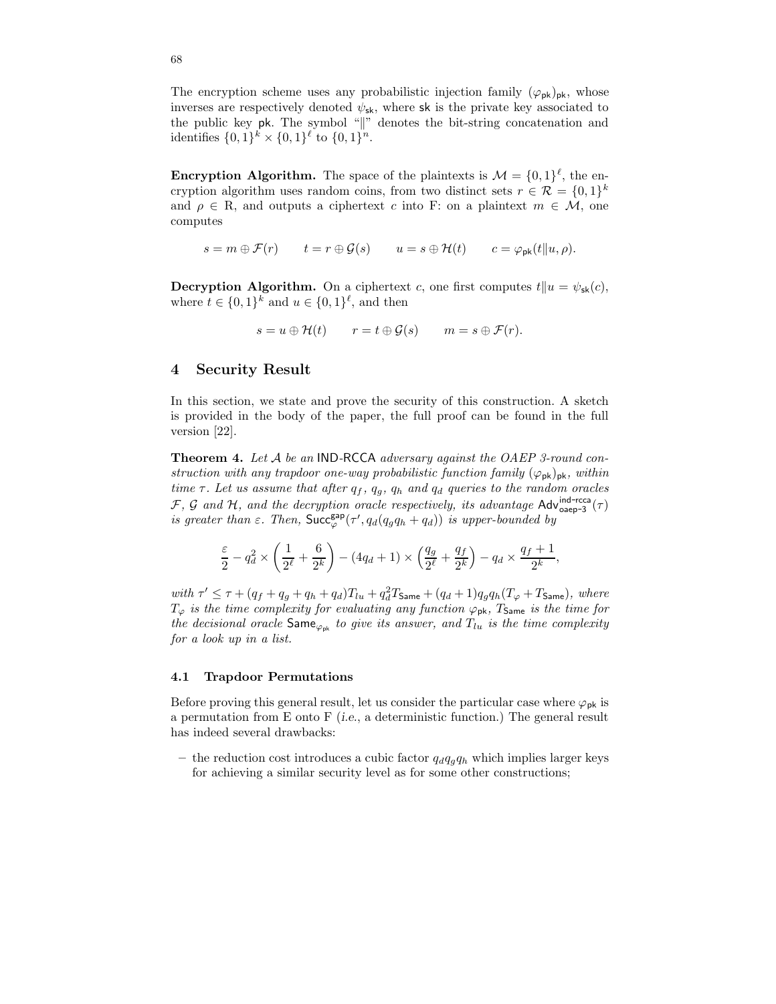The encryption scheme uses any probabilistic injection family  $(\varphi_{\rm pk})_{\rm pk}$ , whose inverses are respectively denoted  $\psi_{\rm sk}$ , where sk is the private key associated to the public key pk. The symbol " $\mathbf{w}$ " denotes the bit-string concatenation and identifies  $\{0,1\}^k \times \{0,1\}^{\ell}$  to  $\{0,1\}^n$ .

**Encryption Algorithm.** The space of the plaintexts is  $\mathcal{M} = \{0, 1\}^{\ell}$ , the encryption algorithm uses random coins, from two distinct sets  $r \in \mathcal{R} = \{0,1\}^k$ and  $\rho \in \mathbb{R}$ , and outputs a ciphertext c into F: on a plaintext  $m \in \mathcal{M}$ , one computes

$$
s = m \oplus \mathcal{F}(r) \qquad t = r \oplus \mathcal{G}(s) \qquad u = s \oplus \mathcal{H}(t) \qquad c = \varphi_{\mathsf{pk}}(t||u,\rho).
$$

**Decryption Algorithm.** On a ciphertext c, one first computes  $t||u = \psi_{sk}(c)$ , where  $t \in \{0,1\}^k$  and  $u \in \{0,1\}^{\ell}$ , and then

$$
s = u \oplus \mathcal{H}(t) \qquad r = t \oplus \mathcal{G}(s) \qquad m = s \oplus \mathcal{F}(r).
$$

# 4 Security Result

In this section, we state and prove the security of this construction. A sketch is provided in the body of the paper, the full proof can be found in the full version [22].

Theorem 4. Let A be an IND-RCCA adversary against the OAEP 3-round construction with any trapdoor one-way probabilistic function family  $(\varphi_{pk})_{pk}$ , within time  $\tau$ . Let us assume that after  $q_f$ ,  $q_g$ ,  $q_h$  and  $q_d$  queries to the random oracles F, G and H, and the decryption oracle respectively, its advantage  $\text{Adv}_{\text{oaep-3}}^{inter}(\tau)$ is greater than  $\varepsilon$ . Then,  $\text{Succ}^{\text{gap}}_{\varphi}(\tau', q_d(q_gq_h + q_d))$  is upper-bounded by

$$
\frac{\varepsilon}{2} - q_d^2 \times \left(\frac{1}{2^{\ell}} + \frac{6}{2^k}\right) - (4q_d + 1) \times \left(\frac{q_g}{2^{\ell}} + \frac{q_f}{2^k}\right) - q_d \times \frac{q_f + 1}{2^k},
$$

with  $\tau' \leq \tau + (q_f + q_g + q_h + q_d)T_{lu} + q_d^2T_{\text{Same}} + (q_d + 1)q_gq_h(T_\varphi + T_{\text{Same}})$ , where  $T_{\varphi}$  is the time complexity for evaluating any function  $\varphi_{\rm pk}$ ,  $T_{\rm Same}$  is the time for the decisional oracle Same<sub> $\varphi_{pk}$ </sub> to give its answer, and  $T_{lu}$  is the time complexity for a look up in a list.

#### 4.1 Trapdoor Permutations

Before proving this general result, let us consider the particular case where  $\varphi_{\text{pk}}$  is a permutation from  $E$  onto  $F$  (i.e., a deterministic function.) The general result has indeed several drawbacks:

– the reduction cost introduces a cubic factor  $q_d q_q q_h$  which implies larger keys for achieving a similar security level as for some other constructions;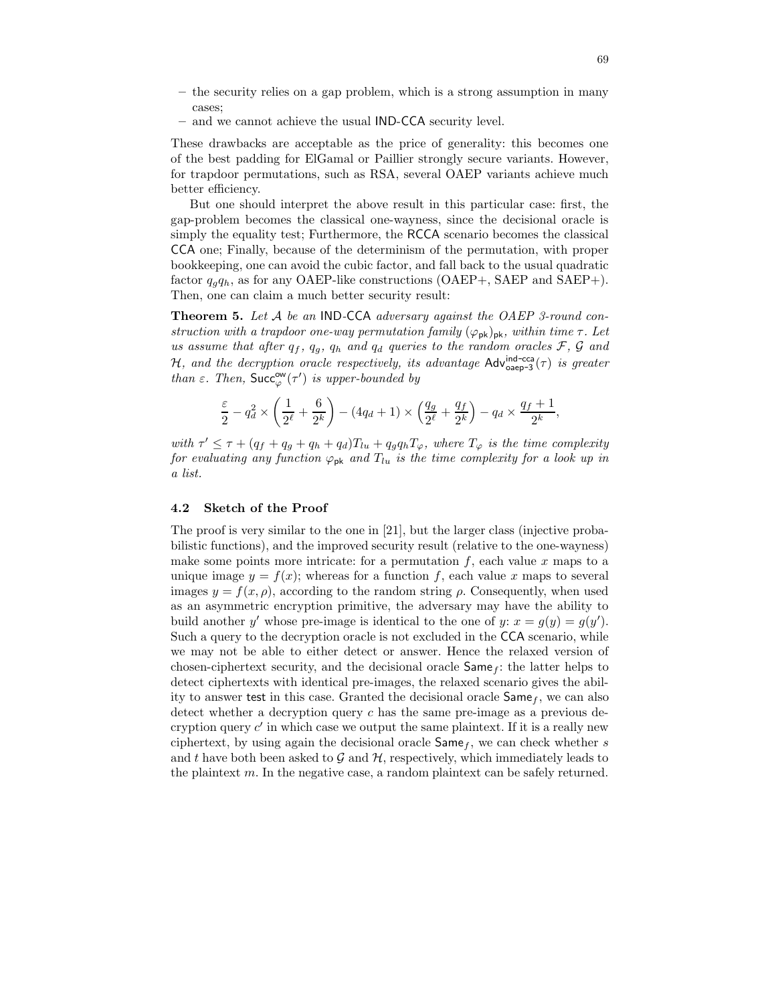- the security relies on a gap problem, which is a strong assumption in many cases;
- and we cannot achieve the usual IND-CCA security level.

These drawbacks are acceptable as the price of generality: this becomes one of the best padding for ElGamal or Paillier strongly secure variants. However, for trapdoor permutations, such as RSA, several OAEP variants achieve much better efficiency.

But one should interpret the above result in this particular case: first, the gap-problem becomes the classical one-wayness, since the decisional oracle is simply the equality test; Furthermore, the RCCA scenario becomes the classical CCA one; Finally, because of the determinism of the permutation, with proper bookkeeping, one can avoid the cubic factor, and fall back to the usual quadratic factor  $q_{q}q_{h}$ , as for any OAEP-like constructions (OAEP+, SAEP and SAEP+). Then, one can claim a much better security result:

Theorem 5. Let A be an IND-CCA adversary against the OAEP 3-round construction with a trapdoor one-way permutation family  $(\varphi_{\rm pk})_{\rm pk}$ , within time  $\tau$ . Let us assume that after  $q_f$ ,  $q_g$ ,  $q_h$  and  $q_d$  queries to the random oracles  $\mathcal{F}$ ,  $\mathcal{G}$  and H, and the decryption oracle respectively, its advantage  $\text{Adv}_{\text{oaep-3}}^{\text{intra}}(\tau)$  is greater than  $\varepsilon$ . Then,  $\text{Succ}^{\text{ow}}_{\varphi}(\tau')$  is upper-bounded by

$$
\frac{\varepsilon}{2}-q_d^2\times\left(\frac{1}{2^\ell}+\frac{6}{2^k}\right)-(4q_d+1)\times\left(\frac{q_g}{2^\ell}+\frac{q_f}{2^k}\right)-q_d\times\frac{q_f+1}{2^k},
$$

with  $\tau' \leq \tau + (q_f + q_g + q_h + q_d)T_{lu} + q_g q_h T_{\varphi}$ , where  $T_{\varphi}$  is the time complexity for evaluating any function  $\varphi_{\rm pk}$  and  $T_{lu}$  is the time complexity for a look up in a list.

### 4.2 Sketch of the Proof

The proof is very similar to the one in [21], but the larger class (injective probabilistic functions), and the improved security result (relative to the one-wayness) make some points more intricate: for a permutation  $f$ , each value  $x$  maps to a unique image  $y = f(x)$ ; whereas for a function f, each value x maps to several images  $y = f(x, \rho)$ , according to the random string  $\rho$ . Consequently, when used as an asymmetric encryption primitive, the adversary may have the ability to build another y' whose pre-image is identical to the one of y:  $x = g(y) = g(y')$ . Such a query to the decryption oracle is not excluded in the CCA scenario, while we may not be able to either detect or answer. Hence the relaxed version of chosen-ciphertext security, and the decisional oracle  $\mathsf{Same}_f$ : the latter helps to detect ciphertexts with identical pre-images, the relaxed scenario gives the ability to answer test in this case. Granted the decisional oracle  $\mathsf{Same}_f$ , we can also detect whether a decryption query  $c$  has the same pre-image as a previous decryption query  $c'$  in which case we output the same plaintext. If it is a really new ciphertext, by using again the decisional oracle  $\mathsf{Same}_f$ , we can check whether s and t have both been asked to  $\mathcal G$  and  $\mathcal H$ , respectively, which immediately leads to the plaintext m. In the negative case, a random plaintext can be safely returned.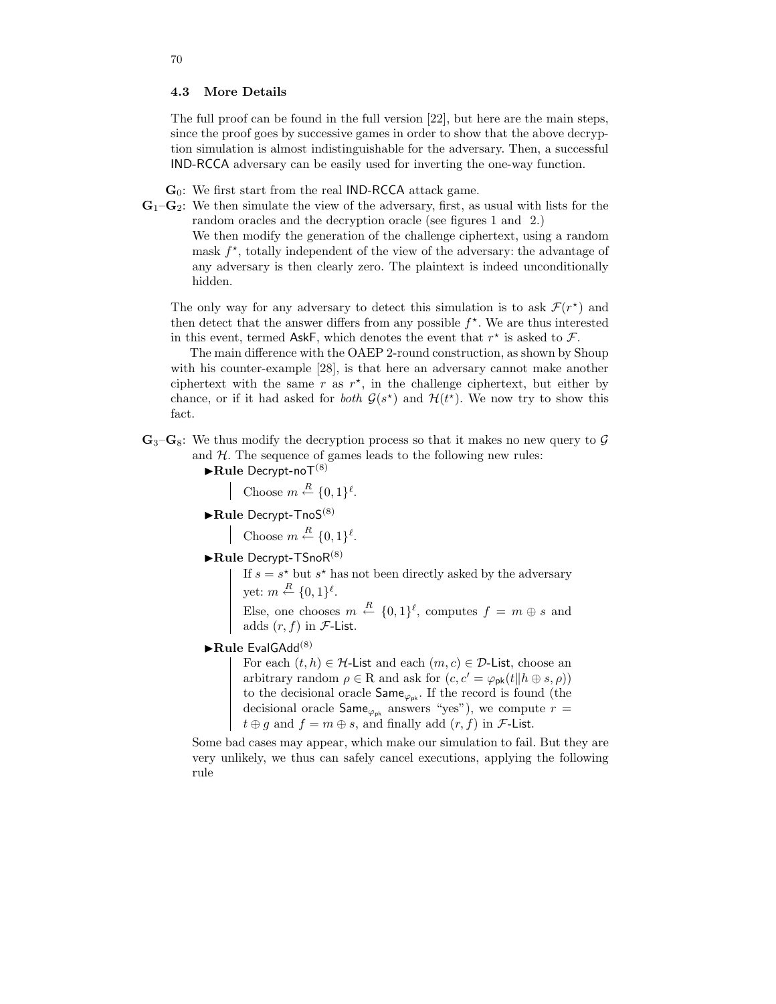### 4.3 More Details

The full proof can be found in the full version [22], but here are the main steps, since the proof goes by successive games in order to show that the above decryption simulation is almost indistinguishable for the adversary. Then, a successful IND-RCCA adversary can be easily used for inverting the one-way function.

 $\mathbf{G}_0$ : We first start from the real IND-RCCA attack game.

 $\mathbf{G}_1-\mathbf{G}_2$ : We then simulate the view of the adversary, first, as usual with lists for the random oracles and the decryption oracle (see figures 1 and 2.)

We then modify the generation of the challenge ciphertext, using a random mask  $f^*$ , totally independent of the view of the adversary: the advantage of any adversary is then clearly zero. The plaintext is indeed unconditionally hidden.

The only way for any adversary to detect this simulation is to ask  $\mathcal{F}(r^*)$  and then detect that the answer differs from any possible  $f^*$ . We are thus interested in this event, termed AskF, which denotes the event that  $r^*$  is asked to  $\mathcal{F}$ .

The main difference with the OAEP 2-round construction, as shown by Shoup with his counter-example [28], is that here an adversary cannot make another ciphertext with the same  $r$  as  $r^*$ , in the challenge ciphertext, but either by chance, or if it had asked for *both*  $G(s^*)$  and  $H(t^*)$ . We now try to show this fact.

 $\mathbf{G}_3-\mathbf{G}_8$ : We thus modify the decryption process so that it makes no new query to  $\mathcal G$ and  $H$ . The sequence of games leads to the following new rules:

 $\blacktriangleright$ Rule Decrypt-no $\mathsf{T}^{(8)}$ 

Choose  $m \stackrel{R}{\leftarrow} \{0,1\}^{\ell}$ .

 $\blacktriangleright$ Rule Decrypt-TnoS<sup>(8)</sup>

Choose  $m \stackrel{R}{\leftarrow} \{0,1\}^{\ell}$ .

 $\blacktriangleright$ Rule Decrypt-TSnoR<sup>(8)</sup>

If  $s = s^*$  but  $s^*$  has not been directly asked by the adversary yet:  $m \stackrel{R}{\leftarrow} \{0,1\}^{\ell}$ .

Else, one chooses  $m \stackrel{R}{\leftarrow} \{0,1\}^{\ell}$ , computes  $f = m \oplus s$  and adds  $(r, f)$  in F-List.

 $\blacktriangleright$ Rule EvalGAdd<sup>(8)</sup>

For each  $(t, h) \in \mathcal{H}$ -List and each  $(m, c) \in \mathcal{D}$ -List, choose an arbitrary random  $\rho \in \mathbb{R}$  and ask for  $(c, c' = \varphi_{\mathsf{pk}}(t || h \oplus s, \rho))$ to the decisional oracle  $\mathsf{Same}_{\varphi_{\mathsf{pk}}}$ . If the record is found (the decisional oracle  $\mathsf{Same}_{\varphi_{\mathsf{pk}}}$  answers "yes"), we compute  $r =$  $t \oplus g$  and  $f = m \oplus s$ , and finally add  $(r, f)$  in F-List.

Some bad cases may appear, which make our simulation to fail. But they are very unlikely, we thus can safely cancel executions, applying the following rule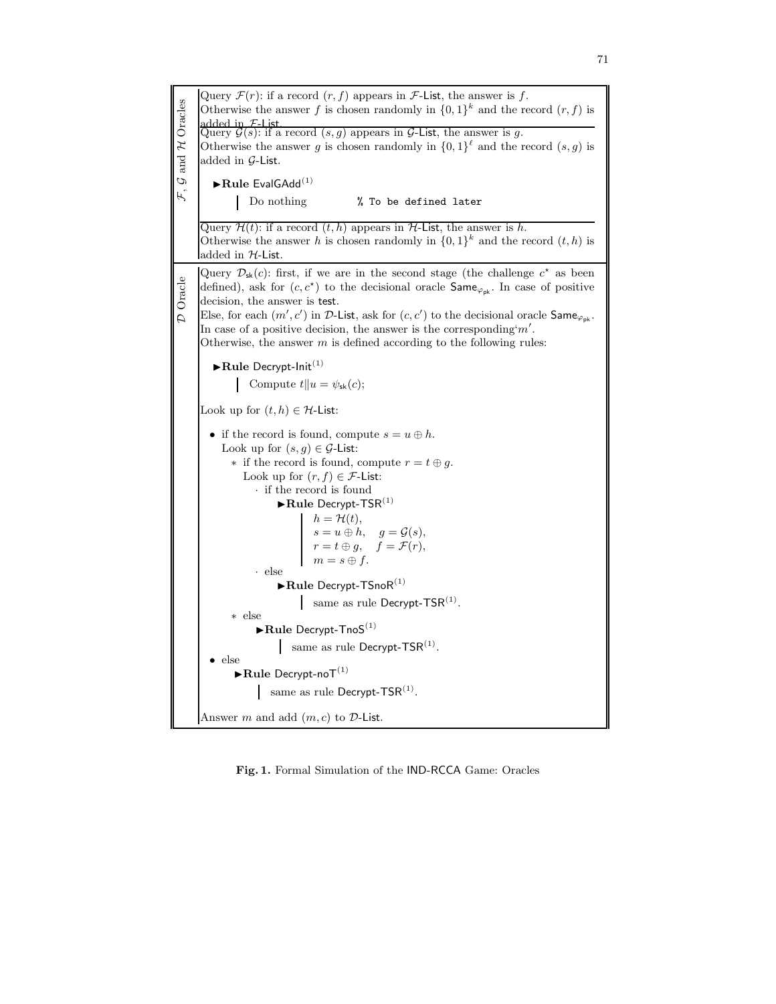```
Query \mathcal{F}(r): if a record (r, f) appears in \mathcal{F}-List, the answer is f.
and H Oracles
{\cal H} Oracles
       Otherwise the answer f is chosen randomly in \{0,1\}^k and the record (r, f) is
       added in F-List.<br>Query \mathcal{G}(s): if a record (s, g) appears in G-List, the answer is g.
       Otherwise the answer g is chosen randomly in \{0,1\}^{\ell} and the record (s,g) is
       added in G-List.
\mathcal{F},\, \mathcal{G} i
          \blacktrianglerightRule EvalGAdd<sup>(1)</sup>
                Do nothing % To be defined later
       Query \mathcal{H}(t): if a record (t, h) appears in \mathcal{H}\text{-List}, the answer is h.
       Otherwise the answer h is chosen randomly in \{0,1\}^k and the record (t,h) is
      added in H-List.
       Query \mathcal{D}_{sk}(c): first, if we are in the second stage (the challenge c^* as been
\mathcal D Oracle
       defined), ask for (c, c^*) to the decisional oracle \mathsf{Same}_{\varphi_{\mathsf{pk}}}. In case of positive
Oracl
      decision, the answer is test.
       Else, for each (m', c') in D-List, ask for (c, c') to the decisional oracle \mathsf{Same}_{\varphi_{\mathsf{pk}}}.
\overline{a}In case of a positive decision, the answer is the corresponding m'.
       Otherwise, the answer m is defined according to the following rules:
          \blacktriangleright Rule Decrypt-Init<sup>(1)</sup>
                Compute t||u = \psi_{\rm sk}(c);Look up for (t, h) \in \mathcal{H}-List:
         • if the record is found, compute s = u \oplus h.
            Look up for (s, g) \in \mathcal{G}-List:
               ∗ if the record is found, compute r = t \oplus g.
                  Look up for (r, f) \in \mathcal{F}-List:
                      · if the record is found
                            \blacktriangleright {\bf Rule} Decrypt-TSR^{(1)}h = H(t),
                                      s = u \oplus h, \quad g = \mathcal{G}(s),r = t \oplus g, f = \mathcal{F}(r),
                                     m = s \oplus f.
                      · else
                            \blacktriangleright \mathbf{Rule} \ \mathsf{Decrypt}\text{-}\mathsf{TSnoR}^{(1)}same as rule \mathsf{Decrypt}\text{-}\mathsf{TSR}^{(1)}.∗ else
                      \blacktriangleright Rule Decrypt-TnoS<sup>(1)</sup>
                                same as rule Decrypt-TSR^{(1)}.
         • else
               \blacktriangleright Rule Decrypt-no\mathsf{T}^{(1)}same as rule \mathsf{Decrypt}\text{-}\mathsf{TSR}^{(1)}.Answer m and add (m, c) to D-List.
```
Fig. 1. Formal Simulation of the IND-RCCA Game: Oracles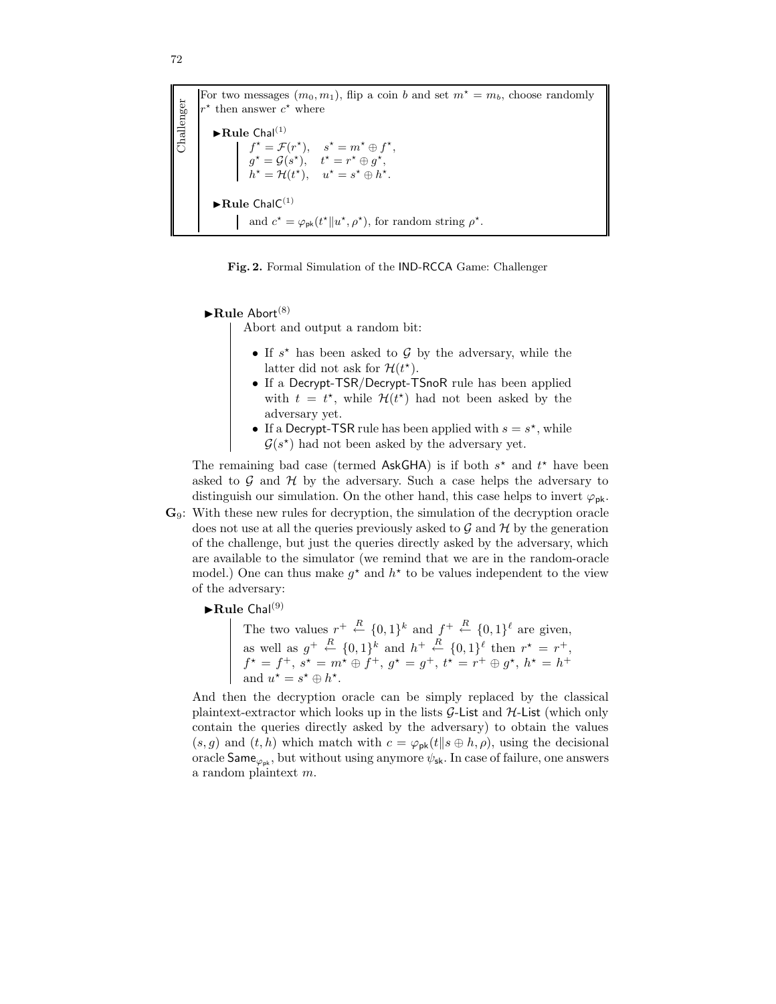For two messages  $(m_0, m_1)$ , flip a coin b and set  $m^* = m_b$ , choose randomly Challenger Challenger  $r^*$  then answer  $c^*$  where  $\blacktriangleright$  Rule Chal<sup>(1)</sup>  $f^* = \mathcal{F}(r^*), \quad s^* = m^* \oplus f^*,$  $g^* = \mathcal{G}(s^*), \quad t^* = r^* \oplus g^*,$  $h^* = \mathcal{H}(t^*), \quad u^* = s^* \oplus h^*.$  $\blacktriangleright$  Rule ChalC<sup>(1)</sup> and  $c^* = \varphi_{\text{pk}}(t^* || u^*, \rho^*),$  for random string  $\rho^*$ .



 $\blacktriangleright$ Rule Abort<sup>(8)</sup>

Abort and output a random bit:

- If  $s^*$  has been asked to  $\mathcal G$  by the adversary, while the latter did not ask for  $\mathcal{H}(t^*)$ .
- If a Decrypt-TSR/Decrypt-TSnoR rule has been applied with  $t = t^*$ , while  $\mathcal{H}(t^*)$  had not been asked by the adversary yet.
- If a Decrypt-TSR rule has been applied with  $s = s^*$ , while  $G(s<sup>*</sup>)$  had not been asked by the adversary yet.

The remaining bad case (termed AskGHA) is if both  $s^*$  and  $t^*$  have been asked to  $G$  and  $H$  by the adversary. Such a case helps the adversary to distinguish our simulation. On the other hand, this case helps to invert  $\varphi_{\rm nk}$ .

 $\mathbf{G}_9$ : With these new rules for decryption, the simulation of the decryption oracle does not use at all the queries previously asked to  $\mathcal G$  and  $\mathcal H$  by the generation of the challenge, but just the queries directly asked by the adversary, which are available to the simulator (we remind that we are in the random-oracle model.) One can thus make  $g^*$  and  $h^*$  to be values independent to the view of the adversary:

 $\blacktriangleright$ Rule Chal<sup>(9)</sup>

The two values  $r^+ \stackrel{R}{\leftarrow} \{0,1\}^k$  and  $f^+ \stackrel{R}{\leftarrow} \{0,1\}^{\ell}$  are given, as well as  $g^+ \stackrel{R}{\leftarrow} \{0,1\}^k$  and  $h^+ \stackrel{R}{\leftarrow} \{0,1\}^{\ell}$  then  $r^* = r^+,$  $f^* = f^+, s^* = m^* \oplus f^+, g^* = g^+, t^* = r^+ \oplus g^*, h^* = h^+$ and  $u^* = s^* \oplus h^*$ .

And then the decryption oracle can be simply replaced by the classical plaintext-extractor which looks up in the lists  $G$ -List and  $H$ -List (which only contain the queries directly asked by the adversary) to obtain the values  $(s, g)$  and  $(t, h)$  which match with  $c = \varphi_{\rm pk}(t \| s \oplus h, \rho)$ , using the decisional oracle Same<sub> $\varphi_{nk}$ </sub>, but without using anymore  $\psi_{sk}$ . In case of failure, one answers a random plaintext m.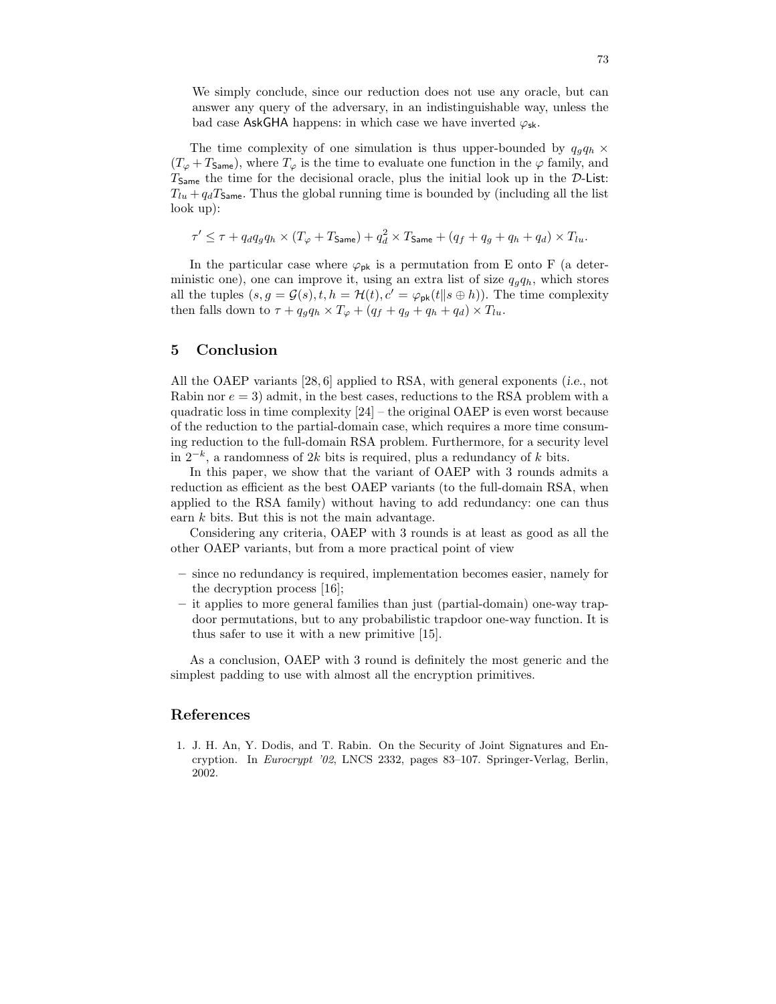We simply conclude, since our reduction does not use any oracle, but can answer any query of the adversary, in an indistinguishable way, unless the bad case AskGHA happens: in which case we have inverted  $\varphi_{sk}$ .

The time complexity of one simulation is thus upper-bounded by  $q_qq_h \times$  $(T_{\varphi} + T_{\text{Same}})$ , where  $T_{\varphi}$  is the time to evaluate one function in the  $\varphi$  family, and  $T_{\text{Same}}$  the time for the decisional oracle, plus the initial look up in the  $D$ -List:  $T_{lu} + q_dT_{\text{Same}}$ . Thus the global running time is bounded by (including all the list look up):

$$
\tau' \leq \tau + q_d q_g q_h \times (T_{\varphi} + T_{\mathsf{Same}}) + q_d^2 \times T_{\mathsf{Same}} + (q_f + q_g + q_h + q_d) \times T_{lu}.
$$

In the particular case where  $\varphi_{\text{pk}}$  is a permutation from E onto F (a deterministic one), one can improve it, using an extra list of size  $q_qq_h$ , which stores all the tuples  $(s, g = \mathcal{G}(s), t, h = \mathcal{H}(t), c' = \varphi_{\text{pk}}(t || s \oplus h)).$  The time complexity then falls down to  $\tau + q_q q_h \times T_\varphi + (q_f + q_q + q_h + q_d) \times T_{lu}$ .

## 5 Conclusion

All the OAEP variants [28, 6] applied to RSA, with general exponents (i.e., not Rabin nor  $e = 3$ ) admit, in the best cases, reductions to the RSA problem with a quadratic loss in time complexity [24] – the original OAEP is even worst because of the reduction to the partial-domain case, which requires a more time consuming reduction to the full-domain RSA problem. Furthermore, for a security level in  $2^{-k}$ , a randomness of 2k bits is required, plus a redundancy of k bits.

In this paper, we show that the variant of OAEP with 3 rounds admits a reduction as efficient as the best OAEP variants (to the full-domain RSA, when applied to the RSA family) without having to add redundancy: one can thus earn  $k$  bits. But this is not the main advantage.

Considering any criteria, OAEP with 3 rounds is at least as good as all the other OAEP variants, but from a more practical point of view

- since no redundancy is required, implementation becomes easier, namely for the decryption process [16];
- it applies to more general families than just (partial-domain) one-way trapdoor permutations, but to any probabilistic trapdoor one-way function. It is thus safer to use it with a new primitive [15].

As a conclusion, OAEP with 3 round is definitely the most generic and the simplest padding to use with almost all the encryption primitives.

## References

1. J. H. An, Y. Dodis, and T. Rabin. On the Security of Joint Signatures and Encryption. In Eurocrypt '02, LNCS 2332, pages 83–107. Springer-Verlag, Berlin, 2002.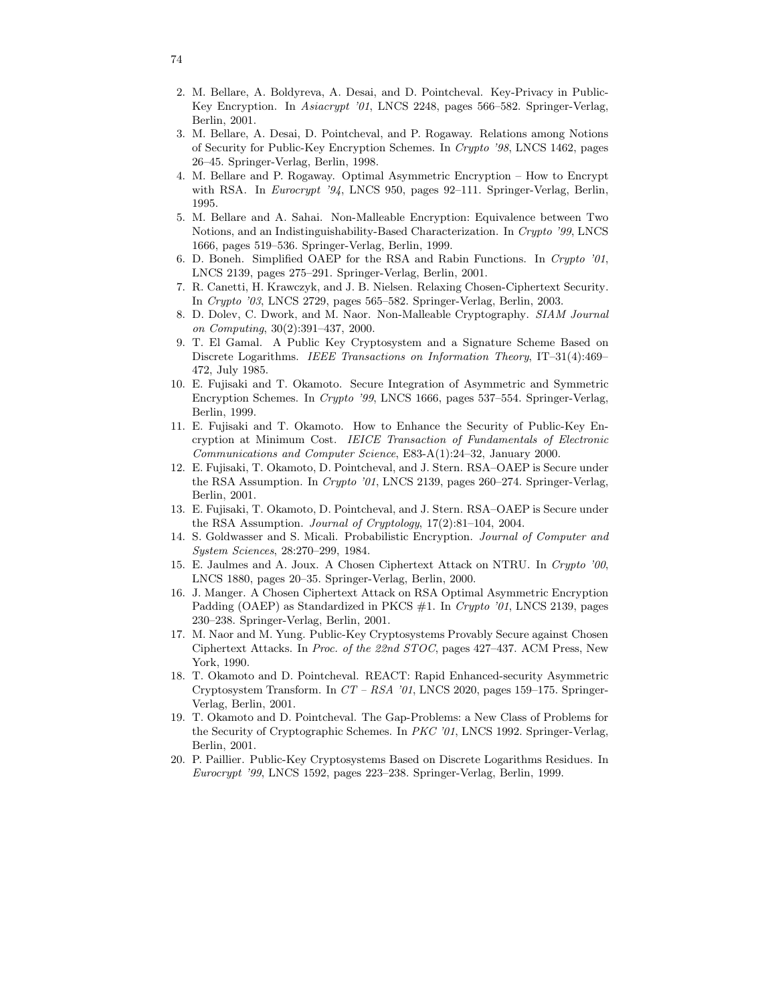- 2. M. Bellare, A. Boldyreva, A. Desai, and D. Pointcheval. Key-Privacy in Public-Key Encryption. In Asiacrypt '01, LNCS 2248, pages 566–582. Springer-Verlag, Berlin, 2001.
- 3. M. Bellare, A. Desai, D. Pointcheval, and P. Rogaway. Relations among Notions of Security for Public-Key Encryption Schemes. In Crypto '98, LNCS 1462, pages 26–45. Springer-Verlag, Berlin, 1998.
- 4. M. Bellare and P. Rogaway. Optimal Asymmetric Encryption How to Encrypt with RSA. In *Eurocrypt '94*, LNCS 950, pages 92–111. Springer-Verlag, Berlin, 1995.
- 5. M. Bellare and A. Sahai. Non-Malleable Encryption: Equivalence between Two Notions, and an Indistinguishability-Based Characterization. In Crypto '99, LNCS 1666, pages 519–536. Springer-Verlag, Berlin, 1999.
- 6. D. Boneh. Simplified OAEP for the RSA and Rabin Functions. In Crypto '01, LNCS 2139, pages 275–291. Springer-Verlag, Berlin, 2001.
- 7. R. Canetti, H. Krawczyk, and J. B. Nielsen. Relaxing Chosen-Ciphertext Security. In Crypto '03, LNCS 2729, pages 565–582. Springer-Verlag, Berlin, 2003.
- 8. D. Dolev, C. Dwork, and M. Naor. Non-Malleable Cryptography. SIAM Journal on Computing, 30(2):391–437, 2000.
- 9. T. El Gamal. A Public Key Cryptosystem and a Signature Scheme Based on Discrete Logarithms. IEEE Transactions on Information Theory, IT–31(4):469– 472, July 1985.
- 10. E. Fujisaki and T. Okamoto. Secure Integration of Asymmetric and Symmetric Encryption Schemes. In Crypto '99, LNCS 1666, pages 537–554. Springer-Verlag, Berlin, 1999.
- 11. E. Fujisaki and T. Okamoto. How to Enhance the Security of Public-Key Encryption at Minimum Cost. IEICE Transaction of Fundamentals of Electronic Communications and Computer Science, E83-A(1):24–32, January 2000.
- 12. E. Fujisaki, T. Okamoto, D. Pointcheval, and J. Stern. RSA–OAEP is Secure under the RSA Assumption. In Crypto '01, LNCS 2139, pages 260–274. Springer-Verlag, Berlin, 2001.
- 13. E. Fujisaki, T. Okamoto, D. Pointcheval, and J. Stern. RSA–OAEP is Secure under the RSA Assumption. Journal of Cryptology, 17(2):81–104, 2004.
- 14. S. Goldwasser and S. Micali. Probabilistic Encryption. Journal of Computer and System Sciences, 28:270–299, 1984.
- 15. E. Jaulmes and A. Joux. A Chosen Ciphertext Attack on NTRU. In Crypto '00, LNCS 1880, pages 20–35. Springer-Verlag, Berlin, 2000.
- 16. J. Manger. A Chosen Ciphertext Attack on RSA Optimal Asymmetric Encryption Padding (OAEP) as Standardized in PKCS #1. In Crypto '01, LNCS 2139, pages 230–238. Springer-Verlag, Berlin, 2001.
- 17. M. Naor and M. Yung. Public-Key Cryptosystems Provably Secure against Chosen Ciphertext Attacks. In Proc. of the 22nd STOC, pages 427–437. ACM Press, New York, 1990.
- 18. T. Okamoto and D. Pointcheval. REACT: Rapid Enhanced-security Asymmetric Cryptosystem Transform. In CT – RSA '01, LNCS 2020, pages 159–175. Springer-Verlag, Berlin, 2001.
- 19. T. Okamoto and D. Pointcheval. The Gap-Problems: a New Class of Problems for the Security of Cryptographic Schemes. In PKC '01, LNCS 1992. Springer-Verlag, Berlin, 2001.
- 20. P. Paillier. Public-Key Cryptosystems Based on Discrete Logarithms Residues. In Eurocrypt '99, LNCS 1592, pages 223–238. Springer-Verlag, Berlin, 1999.